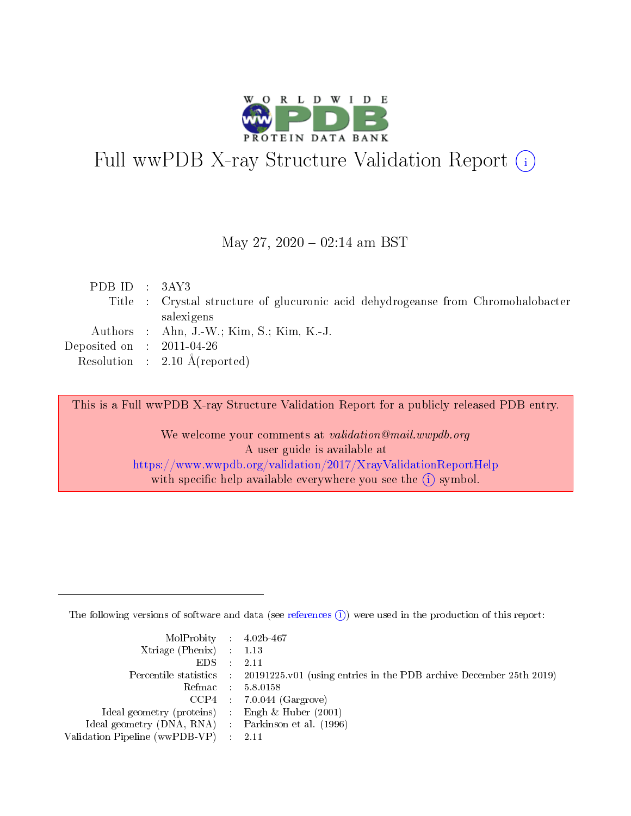

# Full wwPDB X-ray Structure Validation Report (i)

#### May 27,  $2020 - 02:14$  am BST

| PDB ID : $3AY3$             |                                                                                  |
|-----------------------------|----------------------------------------------------------------------------------|
|                             | Title : Crystal structure of glucuronic acid dehydrogeanse from Chromohalobacter |
|                             | salexigens                                                                       |
|                             | Authors : Ahn, J.-W.; Kim, S.; Kim, K.-J.                                        |
| Deposited on : $2011-04-26$ |                                                                                  |
|                             | Resolution : $2.10 \text{ Å}$ (reported)                                         |
|                             |                                                                                  |

This is a Full wwPDB X-ray Structure Validation Report for a publicly released PDB entry.

We welcome your comments at validation@mail.wwpdb.org A user guide is available at <https://www.wwpdb.org/validation/2017/XrayValidationReportHelp> with specific help available everywhere you see the  $(i)$  symbol.

The following versions of software and data (see [references](https://www.wwpdb.org/validation/2017/XrayValidationReportHelp#references)  $(i)$ ) were used in the production of this report:

| MolProbity : 4.02b-467                              |                                                                                            |
|-----------------------------------------------------|--------------------------------------------------------------------------------------------|
| Xtriage (Phenix) $: 1.13$                           |                                                                                            |
| $EDS = 2.11$                                        |                                                                                            |
|                                                     | Percentile statistics : 20191225.v01 (using entries in the PDB archive December 25th 2019) |
|                                                     | Refmac : 5.8.0158                                                                          |
|                                                     | $CCP4$ : 7.0.044 (Gargrove)                                                                |
| Ideal geometry (proteins) : Engh $\&$ Huber (2001)  |                                                                                            |
| Ideal geometry (DNA, RNA) : Parkinson et al. (1996) |                                                                                            |
| Validation Pipeline (wwPDB-VP) : 2.11               |                                                                                            |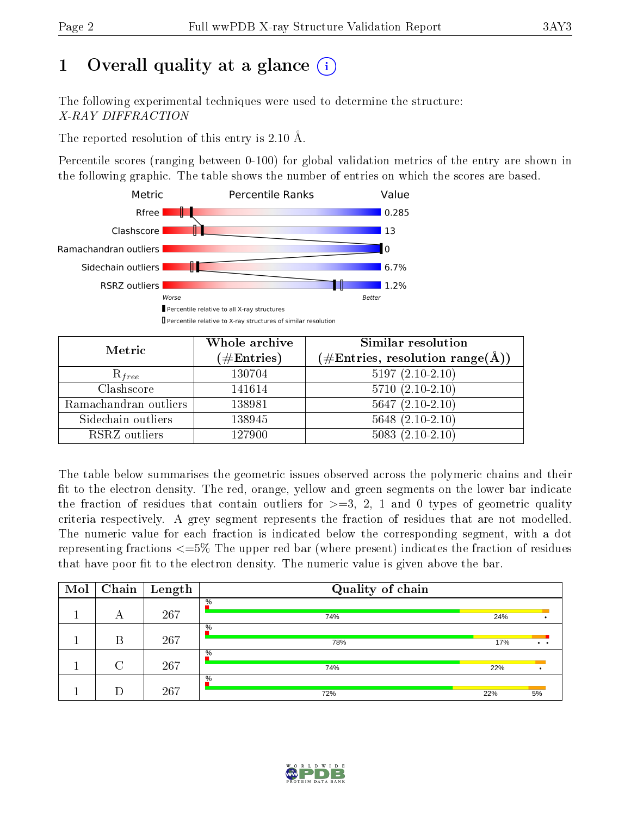# 1 [O](https://www.wwpdb.org/validation/2017/XrayValidationReportHelp#overall_quality)verall quality at a glance  $(i)$

The following experimental techniques were used to determine the structure: X-RAY DIFFRACTION

The reported resolution of this entry is 2.10 Å.

Percentile scores (ranging between 0-100) for global validation metrics of the entry are shown in the following graphic. The table shows the number of entries on which the scores are based.



| Metric                | Whole archive<br>$(\#\text{Entries})$ | Similar resolution<br>$(\#\text{Entries}, \, \text{resolution range}(\textup{\AA}))$ |
|-----------------------|---------------------------------------|--------------------------------------------------------------------------------------|
| $R_{free}$            | 130704                                | $5197(2.10-2.10)$                                                                    |
| Clashscore            | 141614                                | $5710(2.10-2.10)$                                                                    |
| Ramachandran outliers | 138981                                | $5647(2.10-2.10)$                                                                    |
| Sidechain outliers    | 138945                                | $5648$ $(2.10-2.10)$                                                                 |
| RSRZ outliers         | 127900                                | $5083(2.10-2.10)$                                                                    |

The table below summarises the geometric issues observed across the polymeric chains and their fit to the electron density. The red, orange, yellow and green segments on the lower bar indicate the fraction of residues that contain outliers for  $>=3, 2, 1$  and 0 types of geometric quality criteria respectively. A grey segment represents the fraction of residues that are not modelled. The numeric value for each fraction is indicated below the corresponding segment, with a dot representing fractions  $\epsilon=5\%$  The upper red bar (where present) indicates the fraction of residues that have poor fit to the electron density. The numeric value is given above the bar.

| Mol | Chain  | $\vert$ Length | Quality of chain |     |                      |  |  |  |  |
|-----|--------|----------------|------------------|-----|----------------------|--|--|--|--|
|     | А      | 267            | $\%$<br>74%      | 24% |                      |  |  |  |  |
|     | В      | 267            | $\%$<br>78%      | 17% | $\ddot{\phantom{a}}$ |  |  |  |  |
|     | $\cap$ | 267            | $\%$<br>74%      | 22% |                      |  |  |  |  |
|     |        | 267            | $\%$<br>72%      | 22% | 5%                   |  |  |  |  |

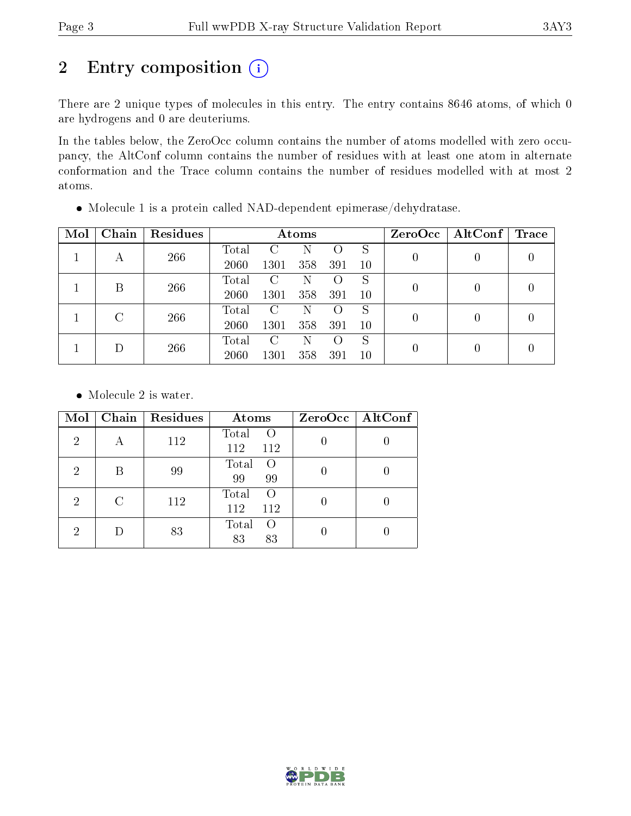# 2 Entry composition (i)

There are 2 unique types of molecules in this entry. The entry contains 8646 atoms, of which 0 are hydrogens and 0 are deuteriums.

In the tables below, the ZeroOcc column contains the number of atoms modelled with zero occupancy, the AltConf column contains the number of residues with at least one atom in alternate conformation and the Trace column contains the number of residues modelled with at most 2 atoms.

| Mol    | Chain | Residues | Atoms |      |                    |     |    |   | $ZeroOcc \mid AltConf \mid$ | $\mid$ Trace |
|--------|-------|----------|-------|------|--------------------|-----|----|---|-----------------------------|--------------|
|        |       | 266      | Total |      |                    | 0   | S  |   |                             |              |
|        | А     |          | 2060  | 1301 | 358                | 391 | 10 |   |                             |              |
|        | В     | 266      | Total | C    | N                  |     | S  | 0 |                             |              |
|        |       |          | 2060  | 1301 | 358                | 391 | 10 |   |                             |              |
|        |       |          | Total | C    | N                  |     | S  |   |                             |              |
|        |       | 266      | 2060  | 1301 | 358                | 391 | 10 | 0 |                             |              |
| $\Box$ |       | Total    | C     | N    | $\left( \ \right)$ | S   |    |   |                             |              |
|        | 266   | 2060     | 1301  | 358  | 391                | 10  | 0  |   |                             |              |

Molecule 1 is a protein called NAD-dependent epimerase/dehydratase.

• Molecule 2 is water.

| Mol            | Chain | Residues | Atoms                     | ZeroOcc   AltConf |  |  |
|----------------|-------|----------|---------------------------|-------------------|--|--|
| $\overline{2}$ | А     | 112      | Total<br>$\Omega$         |                   |  |  |
|                |       |          | 112<br>112                |                   |  |  |
| 2              | В     | 99       | Total<br>$\Omega$         |                   |  |  |
|                |       |          | 99<br>99                  |                   |  |  |
|                | C     | 112      | Total<br>$\Omega$         |                   |  |  |
| $\overline{2}$ |       |          | 112<br>112                |                   |  |  |
|                |       |          | Total<br>$\left( \right)$ |                   |  |  |
| 2              |       |          | 83                        | 83<br>83          |  |  |

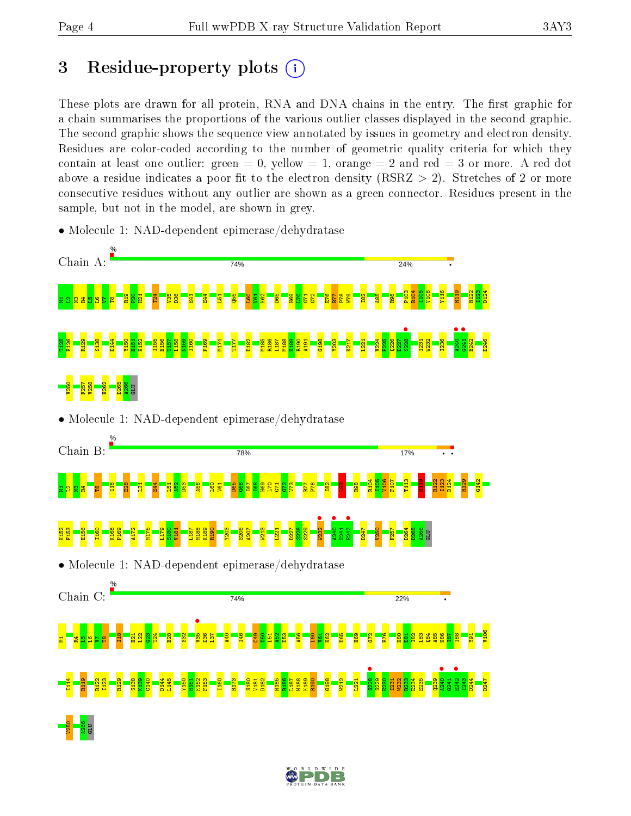V250 A266 GLU

# 3 Residue-property plots  $(i)$

These plots are drawn for all protein, RNA and DNA chains in the entry. The first graphic for a chain summarises the proportions of the various outlier classes displayed in the second graphic. The second graphic shows the sequence view annotated by issues in geometry and electron density. Residues are color-coded according to the number of geometric quality criteria for which they contain at least one outlier: green  $= 0$ , yellow  $= 1$ , orange  $= 2$  and red  $= 3$  or more. A red dot above a residue indicates a poor fit to the electron density (RSRZ  $> 2$ ). Stretches of 2 or more consecutive residues without any outlier are shown as a green connector. Residues present in the sample, but not in the model, are shown in grey.

- Chain A: 74%  $24%$ P103 R104 I105 V106 Y116 R119 R122 I123 D124 R19  $\frac{8}{2}$  $\frac{1}{2}$ T24  $\frac{5}{2}$ D36  $\frac{1}{2}$  $E44$  $\overline{\mathbf{E}}$  $\overline{\mathbf{g}}$  $\frac{1}{2}$  $\frac{1}{2}$ K62  $\frac{5}{8}$  $\frac{1}{2}$  $\frac{1}{2}$  $\frac{1}{15}$  $5^{\circ}$ E76  $\overline{128}$ P78  $\frac{1}{2}$  $\frac{182}{15}$  $\frac{1}{2}$  $\frac{8}{2}$ 12N2N2N2N2N3<mark>R1</mark>  $\mathbf{g}$ **s**<br>3228  $\frac{1}{4240}$  $\frac{1}{241}$ T125 E126 R129 S138 D144 Y150 H151 K152 I155 E156 T157 L158 N159 I160 P169 M174 T177 D182 M185 R186 L187 M188 K189 R190 A191 G198 Y203 K217 L221 V224 P225 Q226 D227 I231 W232 I236 E242 D246 V250 F257 V258 H262 D265 A266 GLU • Molecule 1: NAD-dependent epimerase/dehydratase Chain B: 78% 17% R104 I105 V106 F107 T113  $\frac{21}{11}$ R122 I123 D124 R129 G142  $\frac{18}{11}$ E28  $\frac{51}{2}$  $\overline{54}$  $\overline{51}$  $\frac{52}{4}$ D53 A56 L60  $\overline{\mathbf{e}}$ D65  $\frac{66}{5}$ I67  $\frac{168}{1}$ H69 L70  $\frac{1}{2}$  $\frac{5}{2}$  $\mathbb{Z}^n$ R77 P78 I82  $\frac{3}{2}$  $\frac{8}{2}$ 보 <mark>음</mark> 일 일 일 W<sub>232</sub>  $\frac{1}{240}$  $\frac{1}{242}$ K152 F153 E156 I160 K168 P169 A172 M175 L179 S180 V181 L187 M188 K189 R190 Y203 S206 A207 W213 L221 D227 S228 S229  $341$ D247 V250 F257 D264 D265 A266 GLU • Molecule 1: NAD-dependent epimerase/dehydratase Chain C: 74% 22%  $\frac{1}{25}$ V106  $\frac{8}{11}$  $\frac{1}{2}$  $\frac{22}{2}$  $\frac{2}{3}$ T24  $\frac{8}{2}$  $\frac{2}{3}$ D36  $\overline{\mathbf{S}}$  $\frac{40}{4}$ I46  $\frac{6}{2}$  $\frac{1}{2}$  $\overline{5}$  $\frac{2}{3}$  $\frac{3}{2}$ A56  $\frac{1}{2}$  $\frac{1}{2}$  $\frac{8}{2}$  $\mathbf{g}$  $\frac{8}{10}$  $5^{\circ}$ E76  $\frac{1}{2}$ D81 I82  $\frac{3}{2}$  $\frac{1}{8}$  $\frac{485}{2}$ N86  $\frac{187}{2}$ I88  $\frac{1}{2}$ 1812 21 2<mark>1</mark><br>1812 21 21 21 22 22 23 23 23 23 23 23 23 23 24 24 25 24 25 24 25 24 25 25 26 26 26 27 28 27 28 27 28  $\frac{1}{2}$  $\frac{1}{240}$ E242 • I114 R119 R122 I123 R129 S138 K139 C140 D144 L145 Y150 H151 K152 F153 I160 R173 S180 V181 D182 M185 R186 L187 M188 K189 R190 G198 W212 L221 S229 E230 I231 W232 R233 E234 E235  $239$  $G241$ I243 D244 D247
- Molecule 1: NAD-dependent epimerase/dehydratase

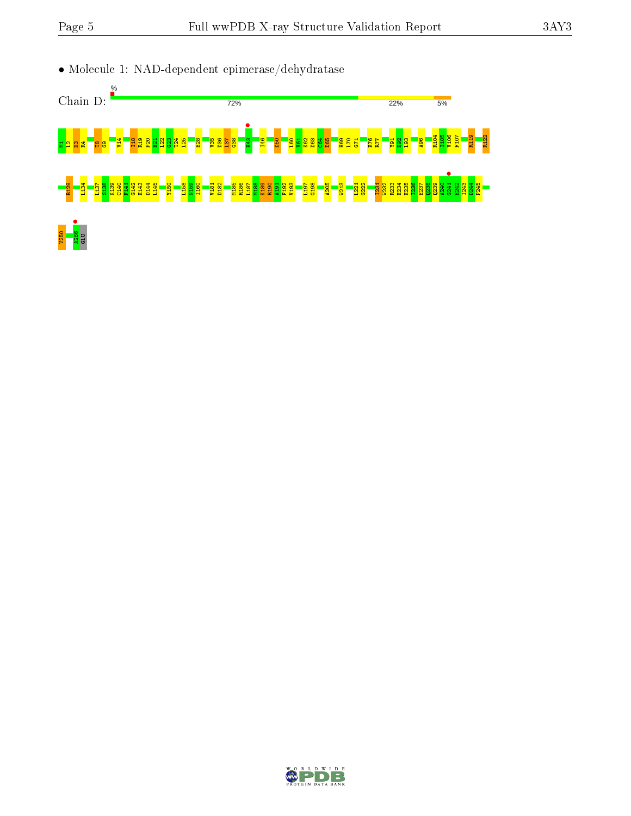

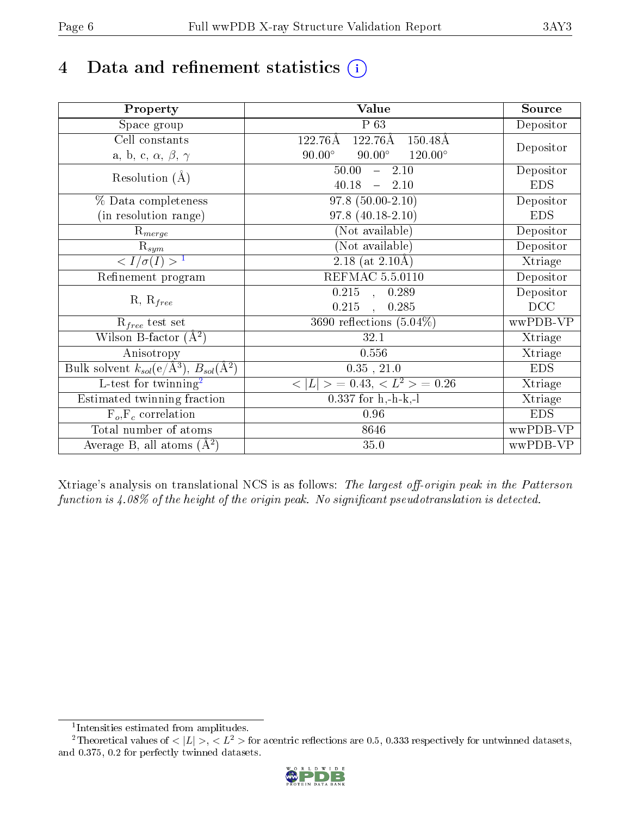# 4 Data and refinement statistics  $(i)$

| Property                                                             | Value                                              | Source     |
|----------------------------------------------------------------------|----------------------------------------------------|------------|
| Space group                                                          | P 63                                               | Depositor  |
| Cell constants                                                       | 122.76Å<br>122.76Å<br>$150.48\text{\AA}$           |            |
| a, b, c, $\alpha,\,\beta,\,\gamma$                                   | $90.00^\circ$<br>$90.00^\circ$<br>$120.00^{\circ}$ | Depositor  |
| Resolution $(A)$                                                     | 50.00<br>$-2.10$                                   | Depositor  |
|                                                                      | 40.18<br>$-2.10$                                   | <b>EDS</b> |
| % Data completeness                                                  | $97.8(50.00-2.10)$                                 | Depositor  |
| (in resolution range)                                                | $97.8(40.18-2.10)$                                 | <b>EDS</b> |
| $R_{merge}$                                                          | (Not available)                                    | Depositor  |
| $\mathrm{R}_{sym}$                                                   | (Not available)                                    | Depositor  |
| $\sqrt{I/\sigma}(I) > 1$                                             | 2.18 (at $2.10\text{\AA}$ )                        | Xtriage    |
| Refinement program                                                   | REFMAC 5.5.0110                                    | Depositor  |
|                                                                      | $0.215$ , $0.289$                                  | Depositor  |
| $R, R_{free}$                                                        | 0.215<br>$\mathcal{L}$<br>0.285                    | DCC        |
| $R_{free}$ test set                                                  | 3690 reflections $(5.04\%)$                        | wwPDB-VP   |
| Wilson B-factor $(A^2)$                                              | 32.1                                               | Xtriage    |
| Anisotropy                                                           | 0.556                                              | Xtriage    |
| Bulk solvent $k_{sol}(e/\mathring{A}^3)$ , $B_{sol}(\mathring{A}^2)$ | $0.35$ , $21.0$                                    | <b>EDS</b> |
| L-test for twinning <sup>2</sup>                                     | $< L >$ = 0.43, $< L2$ = 0.26                      | Xtriage    |
| Estimated twinning fraction                                          | $0.337$ for h,-h-k,-l                              | Xtriage    |
| $F_o, F_c$ correlation                                               | 0.96                                               | <b>EDS</b> |
| Total number of atoms                                                | 8646                                               | wwPDB-VP   |
| Average B, all atoms $(A^2)$                                         | 35.0                                               | wwPDB-VP   |

Xtriage's analysis on translational NCS is as follows: The largest off-origin peak in the Patterson function is  $4.08\%$  of the height of the origin peak. No significant pseudotranslation is detected.

<sup>&</sup>lt;sup>2</sup>Theoretical values of  $\langle |L| \rangle$ ,  $\langle L^2 \rangle$  for acentric reflections are 0.5, 0.333 respectively for untwinned datasets, and 0.375, 0.2 for perfectly twinned datasets.



<span id="page-5-1"></span><span id="page-5-0"></span><sup>1</sup> Intensities estimated from amplitudes.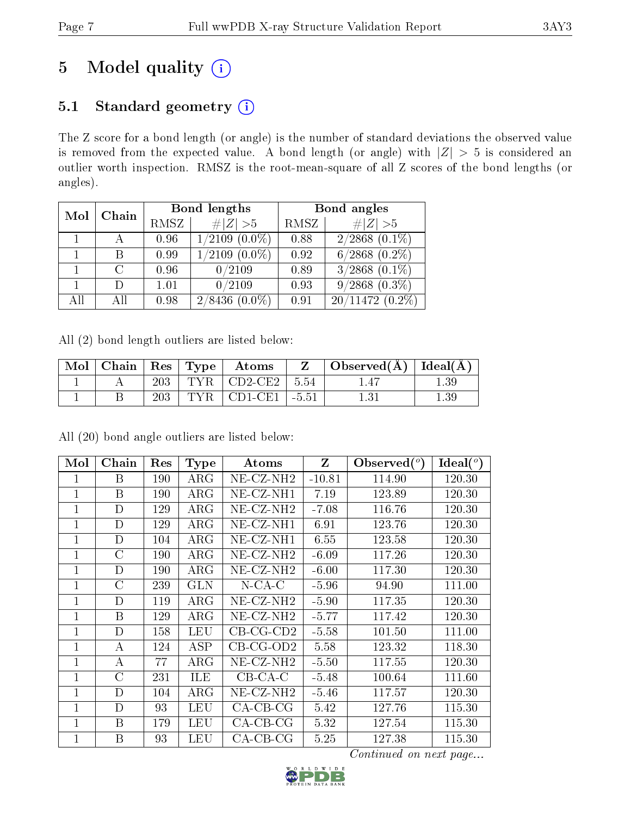# 5 Model quality  $(i)$

# 5.1 Standard geometry (i)

The Z score for a bond length (or angle) is the number of standard deviations the observed value is removed from the expected value. A bond length (or angle) with  $|Z| > 5$  is considered an outlier worth inspection. RMSZ is the root-mean-square of all Z scores of the bond lengths (or angles).

| Mol | Chain |      | <b>Bond lengths</b> | Bond angles |                               |  |
|-----|-------|------|---------------------|-------------|-------------------------------|--|
|     |       | RMSZ | # $ Z >5$           | RMSZ        | $\# Z  > 5$                   |  |
|     |       | 0.96 | $1/2109$ $(0.0\%)$  | 0.88        | $2/2868$ $(0.1\%)$            |  |
|     | В     | 0.99 | $1/2109$ $(0.0\%)$  | 0.92        | $6/2868$ $(0.2\%)$            |  |
|     |       | 0.96 | 0/2109              | 0.89        | $3/2868$ $(0.\overline{1\%)}$ |  |
|     | D     | 1.01 | 0/2109              | 0.93        | $9/2868$ $(0.3\%)$            |  |
| All | АH    | 0.98 | 2/8436<br>$(0.0\%)$ | 0.91        | $20/11472(0.2\%)$             |  |

All (2) bond length outliers are listed below:

| $\operatorname{Mol}$ | $\vert$ Chain $\vert$ Res $\vert$ Type $\vert$ |     |     | Atoms                     |         | Observed( $\AA$ )   Ideal( $\AA$ ) |      |
|----------------------|------------------------------------------------|-----|-----|---------------------------|---------|------------------------------------|------|
|                      |                                                | 203 |     | $TYR$   CD2-CE2           | $-5.54$ |                                    | 1.39 |
|                      |                                                | 203 | TYR | $\mid$ CD1-CE1 $_{\perp}$ | $-5.51$ |                                    | l.39 |

All (20) bond angle outliers are listed below:

| Mol            | Chain         | Res | <b>Type</b> | Atoms                 | Z        | Observed $(°)$ | Ideal $(^\circ)$ |
|----------------|---------------|-----|-------------|-----------------------|----------|----------------|------------------|
| 1              | В             | 190 | $\rm{ARG}$  | $NE-CZ-NH2$           | $-10.81$ | 114.90         | 120.30           |
| 1              | В             | 190 | $\rm{ARG}$  | $NE- CZ-NH1$          | 7.19     | 123.89         | 120.30           |
| $\overline{1}$ | D             | 129 | $\rm{ARG}$  | NE-CZ-NH <sub>2</sub> | $-7.08$  | 116.76         | 120.30           |
| $\overline{1}$ | D             | 129 | $\rm{ARG}$  | $NE- CZ-NH1$          | 6.91     | 123.76         | 120.30           |
| $\overline{1}$ | D             | 104 | $\rm{ARG}$  | NE-CZ-NH1             | 6.55     | 123.58         | 120.30           |
| $\overline{1}$ | $\mathcal{C}$ | 190 | $\rm{ARG}$  | NE-CZ-NH2             | $-6.09$  | 117.26         | 120.30           |
| $\mathbf{1}$   | D             | 190 | $\rm{ARG}$  | $NE- CZ-NH2$          | $-6.00$  | 117.30         | 120.30           |
| 1              | C             | 239 | <b>GLN</b>  | $N$ -CA-C             | $-5.96$  | 94.90          | 111.00           |
| 1              | D             | 119 | $\rm{ARG}$  | $NE$ $CZ$ - $NH2$     | $-5.90$  | 117.35         | 120.30           |
| $\mathbf{1}$   | B             | 129 | $\rm{ARG}$  | NE-CZ-NH <sub>2</sub> | $-5.77$  | 117.42         | 120.30           |
| 1              | D             | 158 | LEU         | $CB-CG-CD2$           | $-5.58$  | 101.50         | 111.00           |
| 1              | А             | 124 | ASP         | $CB-CG-OD2$           | 5.58     | 123.32         | 118.30           |
| 1              | А             | 77  | $\rm{ARG}$  | NE-CZ-NH2             | $-5.50$  | 117.55         | 120.30           |
| $\mathbf{1}$   | С             | 231 | ILE         | $CB-CA-C$             | $-5.48$  | 100.64         | 111.60           |
| 1              | D             | 104 | $\rm{ARG}$  | NE-CZ-NH2             | $-5.46$  | 117.57         | 120.30           |
| 1              | D             | 93  | LEU         | $CA-CB-CG$            | 5.42     | 127.76         | 115.30           |
| $\mathbf{1}$   | B             | 179 | LEU         | $CA-CB-CG$            | 5.32     | 127.54         | 115.30           |
| $\mathbf 1$    | B             | 93  | LEU         | $CA$ -CB-CG           | 5.25     | 127.38         | 115.30           |

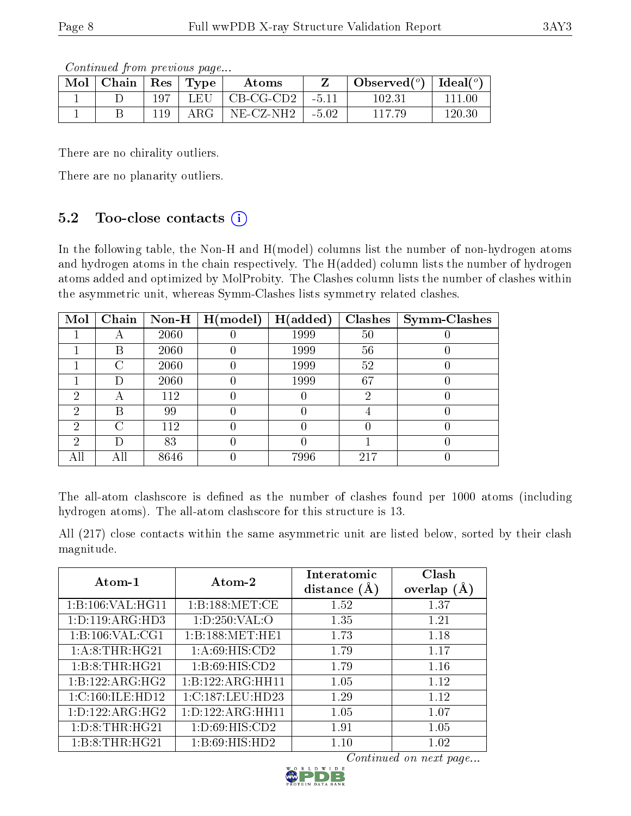Continued from previous page...

| Mol | Chain | $\perp$ Res | $\top$ Type | Atoms             |         | Observed $(°)$ | Ideal $(°)$ |
|-----|-------|-------------|-------------|-------------------|---------|----------------|-------------|
|     |       | 197         | LEU         | $CB-CG-CD2$       | $-5.11$ | 102.31         | 111.00      |
|     |       |             | ${\rm ARG}$ | $NE$ $CZ$ - $NH2$ | $-5.02$ | 117.79         | 120.30      |

There are no chirality outliers.

There are no planarity outliers.

### 5.2 Too-close contacts  $(i)$

In the following table, the Non-H and H(model) columns list the number of non-hydrogen atoms and hydrogen atoms in the chain respectively. The H(added) column lists the number of hydrogen atoms added and optimized by MolProbity. The Clashes column lists the number of clashes within the asymmetric unit, whereas Symm-Clashes lists symmetry related clashes.

| Mol | Chain              |      | $\mid$ Non-H $\mid$ H(model) | H(added) |     | $Clashes$   Symm-Clashes |
|-----|--------------------|------|------------------------------|----------|-----|--------------------------|
|     |                    | 2060 |                              | 1999     | 50  |                          |
|     | В                  | 2060 |                              | 1999     | 56  |                          |
|     | $\left( \ \right)$ | 2060 |                              | 1999     | 52  |                          |
|     |                    | 2060 |                              | 1999     | 67  |                          |
| ച   |                    | 112  |                              |          | ٠,  |                          |
| 2   | В                  | 99   |                              |          |     |                          |
| റ   | C                  | 112  |                              |          |     |                          |
| ച   |                    | 83   |                              |          |     |                          |
|     | АH                 | 8646 |                              | 7996     | 217 |                          |

The all-atom clashscore is defined as the number of clashes found per 1000 atoms (including hydrogen atoms). The all-atom clashscore for this structure is 13.

All (217) close contacts within the same asymmetric unit are listed below, sorted by their clash magnitude.

| Atom-1              | Atom-2               | Interatomic<br>distance $(A)$ | Clash<br>overlap $(A)$ |
|---------------------|----------------------|-------------------------------|------------------------|
| 1:B:106:VAL:HG11    | 1: B: 188: MET:CE    | 1.52                          | 1.37                   |
| 1: D: 119: ARG: HD3 | 1: D:250: VAL:O      | 1.35                          | 1.21                   |
| 1:B:106:VAL:CG1     | 1:B:188:MET:HE1      | 1.73                          | 1.18                   |
| 1:A:8:THR:HG21      | 1: A:69: HIS: CD2    | 1.79                          | 1.17                   |
| 1:B:8:THR:HG21      | 1: B:69: HIS:CD2     | 1.79                          | 1.16                   |
| 1:B:122:ARG:HG2     | 1:B:122:ARG:HH11     | 1.05                          | 1.12                   |
| 1:C:160:ILE:HD12    | 1:C:187:LEU:HD23     | 1.29                          | 1.12                   |
| 1: D: 122: ARG: HG2 | 1: D: 122: ARG: HH11 | 1.05                          | 1.07                   |
| 1: D: 8: THR: HG21  | 1: D:69: HIS: CD2    | 1.91                          | 1.05                   |
| 1:B:8:THR:HG21      | 1:B:69:HIS:HD2       | 1.10                          | 1.02                   |

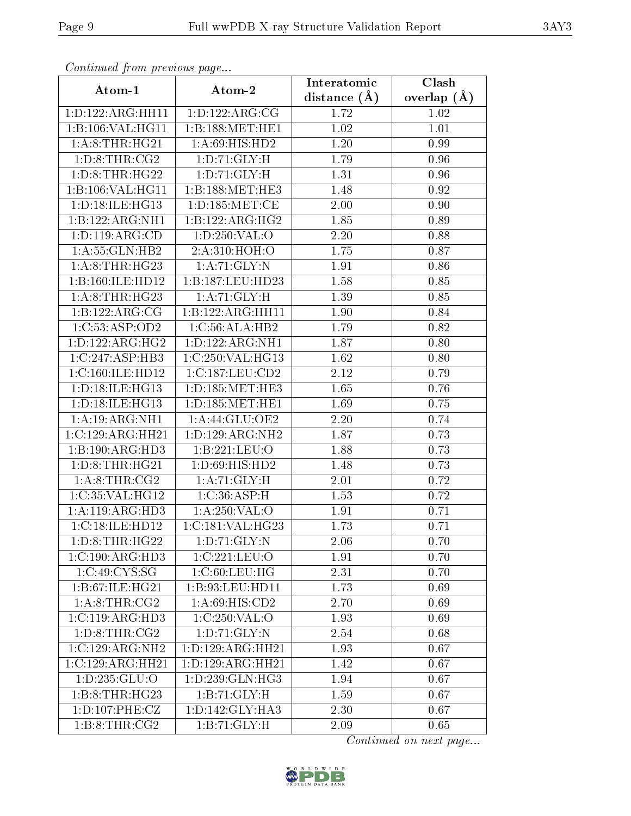| Communaca from previous page |                              | Interatomic    | Clash         |  |
|------------------------------|------------------------------|----------------|---------------|--|
| Atom-1                       | Atom-2                       | distance $(A)$ | overlap $(A)$ |  |
| 1:D:122:ARG:HH11             | 1: D: 122: ARG: CG           | 1.72           | 1.02          |  |
| 1:B:106:VAL:HG11             | 1:B:188:MET:HE1              | 1.02           | 1.01          |  |
| 1: A:8:THR:HG21              | 1: A:69: HIS: HD2            | 1.20           | 0.99          |  |
| 1: D: 8: THR: CG2            | 1: D: 71: GLY: H             | 1.79           | 0.96          |  |
| 1: D: 8: THR: HG22           | 1: D: 71: GLY: H             | 1.31           | 0.96          |  |
| 1:B:106:VAL:HG11             | 1:B:188:MET:HE3              | 1.48           | 0.92          |  |
| 1: D: 18: ILE: HG13          | 1: D: 185: MET:CE            | 2.00           | 0.90          |  |
| 1:B:122:ARG:NH1              | 1:B:122:ARG:HG2              | 1.85           | 0.89          |  |
| 1: D: 119: ARG: CD           | 1:D:250:VAL:O                | $2.20\,$       | 0.88          |  |
| 1:A:55:GLN:HB2               | 2:A:310:HOH:O                | 1.75           | 0.87          |  |
| 1: A:8:THR:HG23              | 1:A:71:GLY:N                 | 1.91           | 0.86          |  |
| 1:B:160:ILE:HD12             | 1:B:187:LEU:HD23             | 1.58           | 0.85          |  |
| 1: A:8:THR:HG23              | 1:A:71:GLY:H                 | 1.39           | 0.85          |  |
| 1:B:122:ARG:CG               | 1:B:122:ARG:HH11             | 1.90           | 0.84          |  |
| 1:C:53:ASP:OD2               | 1:C:56:ALA:HB2               | 1.79           | 0.82          |  |
| 1: D: 122: ARG: HG2          | 1:D:122:ARG:NH1              | 1.87           | 0.80          |  |
| 1:C:247:ASP:HB3              | 1:C:250:VAL:HG13             | 1.62           | 0.80          |  |
| 1:C:160:ILE:HD12             | 1:C:187:LEU:CD2              | 2.12           | 0.79          |  |
| 1:D:18:ILE:HG13              | 1: D: 185: MET: HE3          | 1.65           | 0.76          |  |
| 1: D: 18: ILE: HG13          | 1: D: 185: MET: HE1          | 1.69           | 0.75          |  |
| 1:A:19:ARG:NH1               | 1: A:44: GLU:OE2             | $2.20\,$       | 0.74          |  |
| 1:C:129:ARG:HH21             | $1:D:129:ARG:\overline{NH2}$ | 1.87           | 0.73          |  |
| 1:B:190:ARG:HD3              | 1:B:221:LEU:O                | 1.88           | 0.73          |  |
| 1: D: 8: THR: HG21           | 1: D:69: HIS: HD2            | 1.48           | 0.73          |  |
| 1: A:8:THR:CG2               | 1: A:71: GLY: H              | 2.01           | 0.72          |  |
| 1:C:35:VAL:HG12              | 1:C:36:ASP:H                 | 1.53           | 0.72          |  |
| 1:A:119:ARG:HD3              | 1:A:250:VAL:O                | 1.91           | 0.71          |  |
| 1:C:18:ILE:H <sub>D12</sub>  | 1:C:181:VAL:HG23             | 1.73           | 0.71          |  |
| 1: D: 8: THR: HG22           | 1: D: 71: GLY: N             | 2.06           | 0.70          |  |
| 1:C:190:ARG:HD3              | 1:C:221:LEU:O                | 1.91           | 0.70          |  |
| 1:C:49:CYS:SG                | 1:C:60:LEU:HG                | 2.31           | 0.70          |  |
| 1:B:67:ILE:HG21              | 1:B:93:LEU:HD11              | 1.73           | 0.69          |  |
| 1: A:8:THR:CG2               | 1: A:69: HIS: CD2            | 2.70           | 0.69          |  |
| 1:C:119:ARG:HD3              | 1:C:250:VAL:O                | 1.93           | 0.69          |  |
| 1: D: 8: THR: CG2            | 1: D: 71: GLY:N              | 2.54           | 0.68          |  |
| 1:C:129:ARG:NH2              | 1:D:129:ARG:HH21             | 1.93           | 0.67          |  |
| 1:C:129:ARG:HH21             | 1:D:129:ARG:HH21             | 1.42           | 0.67          |  |
| 1: D: 235: GLU:O             | 1:D:239:GLN:HG3              | 1.94           | 0.67          |  |
| 1: B: 8: THR: HG23           | 1:B:71:GLY:H                 | 1.59           | 0.67          |  |
| 1: D: 107: PHE: CZ           | 1: D: 142: GLY: HA3          | 2.30           | 0.67          |  |
| 1:B:8:THR:CG2                | 1:B:71:GLY:H                 | 2.09           | 0.65          |  |

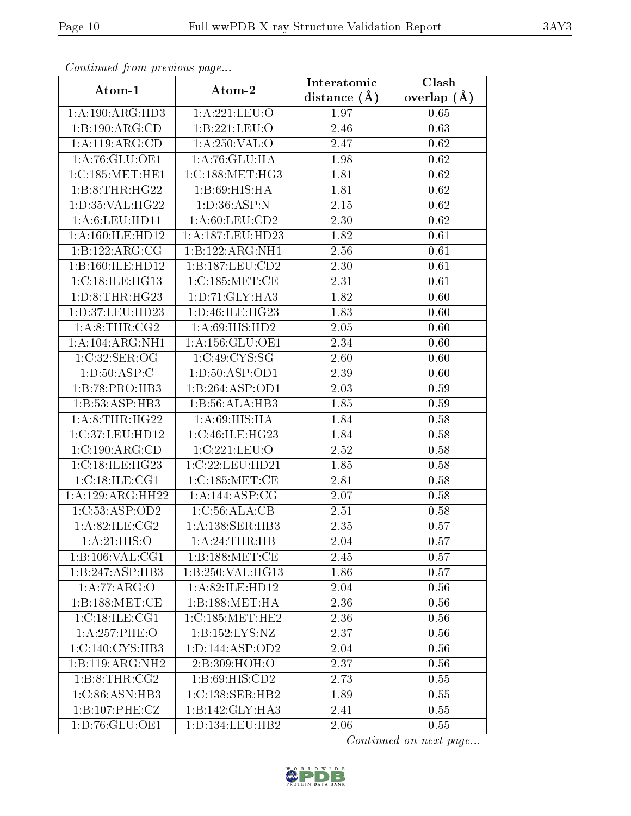| Conningea from previous page       |                     | Interatomic      | Clash         |  |
|------------------------------------|---------------------|------------------|---------------|--|
| Atom-1                             | Atom-2              | distance $(\AA)$ | overlap $(A)$ |  |
| 1:A:190:ARG:HD3                    | 1:A:221:LEU:O       | 1.97             | 0.65          |  |
| 1:B:190:ARG:CD                     | 1:B:221:LEU:O       | 2.46             | 0.63          |  |
| 1:A:119:ARG:CD                     | 1: A:250: VAL:O     | 2.47             | 0.62          |  |
| 1:A:76:GLU:OE1                     | 1:A:76:GLU:HA       | 1.98             | 0.62          |  |
| 1:C:185:MET:HE1                    | 1:C:188:MET:HG3     | 1.81             | 0.62          |  |
| 1:B:8:THR:HG22                     | 1: B:69:HIS:HA      | 1.81             | 0.62          |  |
| 1: D: 35: VAL:HG22                 | 1: D: 36: ASP: N    | 2.15             | 0.62          |  |
| 1: A:6: LEU: HD11                  | 1: A:60:LEU:CD2     | 2.30             | 0.62          |  |
| 1: A:160: ILE: HD12                | 1:A:187:LEU:HD23    | 1.82             | 0.61          |  |
| 1:B:122:ARG:CG                     | 1:B:122:ARG:NH1     | 2.56             | 0.61          |  |
| 1:B:160:ILE:HD12                   | 1:B:187:LEU:CD2     | 2.30             | 0.61          |  |
| 1:C:18:ILE:HG13                    | 1:C:185:MET:CE      | 2.31             | 0.61          |  |
| 1: D: 8: THR: HG23                 | 1: D: 71: GLY: HA3  | 1.82             | 0.60          |  |
| 1:D:37:LEU:HD23                    | 1: D: 46: ILE: HG23 | 1.83             | 0.60          |  |
| 1:A:8:THR:CG2                      | 1:A:69:HIS:HD2      | 2.05             | 0.60          |  |
| 1:A:104:ARG:NH1                    | 1: A: 156: GLU: OE1 | 2.34             | 0.60          |  |
| 1:C:32:SER:OG                      | 1:C:49:CYS:SG       | 2.60             | 0.60          |  |
| 1: D: 50: ASP: C                   | 1: D: 50: ASP: OD1  | 2.39             | 0.60          |  |
| 1:B:78:PRO:HB3                     | 1:B:264:ASP:OD1     | 2.03             | 0.59          |  |
| 1:B:53:ASP:HB3                     | 1:B:56:ALA:HB3      | 1.85             | 0.59          |  |
| 1: A:8:THR:HG22                    | 1: A:69: HIS: HA    | 1.84             | 0.58          |  |
| 1:C:37:LEU:HD12                    | 1:C:46:ILE:HG23     | 1.84             | 0.58          |  |
| 1:C:190:ARG:CD                     | 1:C:221:LEU:O       | 2.52             | 0.58          |  |
| 1:C:18:ILE:HG23                    | 1:C:22:LEU:HD21     | 1.85             | 0.58          |  |
| 1:C:18:ILE:CG1                     | 1:C:185:MET:CE      | 2.81             | 0.58          |  |
| 1:A:129:ARG:HH22                   | 1:A:144:ASP:CG      | 2.07             | 0.58          |  |
| 1:C:53:ASP:OD2                     | 1:C:56:ALA:CB       | 2.51             | 0.58          |  |
| $1: A:82: ILE: \overline{CG2}$     | 1:A:138:SER:HB3     | 2.35             | 0.57          |  |
| 1:A:21:HIS:O                       | 1: A:24:THR:HB      | 2.04             | 0.57          |  |
| 1:B:106:VAL:CG1                    | 1:B:188:MET:CE      | 2.45             | 0.57          |  |
| 1:B:247:ASP:HB3                    | 1:B:250:VAL:HG13    | 1.86             | 0.57          |  |
| 1:A:77:ARG:O                       | 1:A:82:ILE:HD12     | 2.04             | 0.56          |  |
| 1:B:188:MET:CE                     | 1: B: 188: MET: HA  | 2.36             | 0.56          |  |
| $1:C:18:\overline{\text{ILE}:CG1}$ | 1:C:185:MET:HE2     | 2.36             | 0.56          |  |
| 1:A:257:PHE:O                      | 1: B: 152: LYS: NZ  | 2.37             | 0.56          |  |
| 1:C:140:CYS:HB3                    | 1: D: 144: ASP: OD2 | 2.04             | 0.56          |  |
| 1:B:119:ARG:NH2                    | 2:B:309:HOH:O       | 2.37             | 0.56          |  |
| 1: B:8: THR:CG2                    | 1: B:69: HIS:CD2    | 2.73             | 0.55          |  |
| $1:C:86:ASN:H\overline{B3}$        | 1:C:138:SER:HB2     | 1.89             | 0.55          |  |
| 1:B:107:PHE:CZ                     | 1:B:142:GLY:HA3     | 2.41             | 0.55          |  |
| 1:D:76:GLU:OE1                     | 1: D: 134: LEU: HB2 | 2.06             | 0.55          |  |

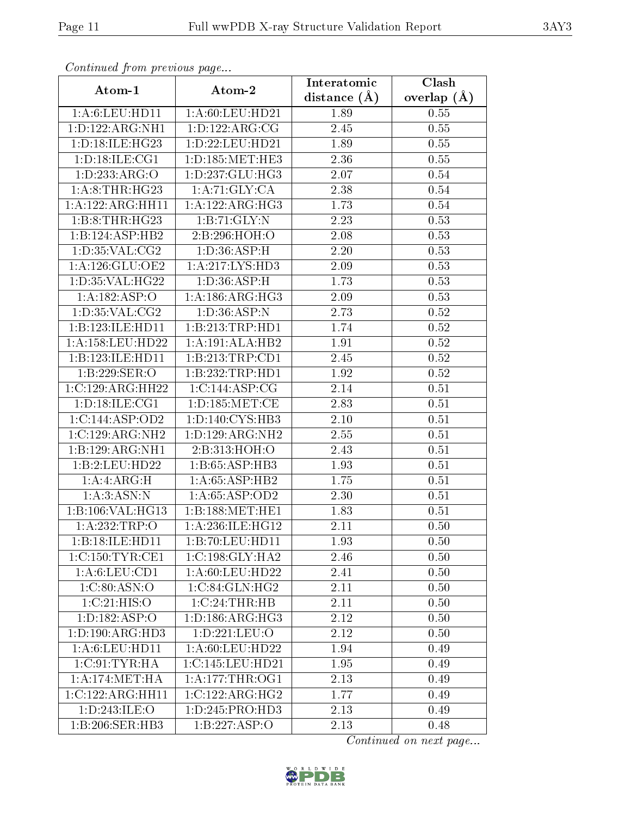| Continuea from previous page         |                       | Interatomic    | Clash           |
|--------------------------------------|-----------------------|----------------|-----------------|
| Atom-1                               | Atom-2                | distance $(A)$ | overlap $(\AA)$ |
| 1: A:6: LEU: HD11                    | 1:A:60:LEU:HD21       | 1.89           | 0.55            |
| 1:D:122:ARG:NH1                      | 1: D: 122: ARG: CG    | 2.45           | 0.55            |
| 1: D: 18: ILE: HG23                  | 1: D: 22: LEU: HD21   | 1.89           | 0.55            |
| 1: D: 18: ILE: CG1                   | 1: D: 185: MET: HE3   | 2.36           | 0.55            |
| 1:D:233:ARG:O                        | 1: D: 237: GLU: HG3   | 2.07           | 0.54            |
| 1: A:8:THR:HG23                      | 1: A:71: GLY:CA       | 2.38           | 0.54            |
| 1:A:122:ARG:HH11                     | 1:A:122:ARG:HG3       | 1.73           | 0.54            |
| 1:B:8:THR:HG23                       | 1:B:71:GLY:N          | 2.23           | 0.53            |
| 1:B:124:ASP:HB2                      | 2:B:296:HOH:O         | 2.08           | 0.53            |
| 1: D:35: VAL:CG2                     | 1: D: 36: ASP:H       | 2.20           | 0.53            |
| 1: A:126: GLU:OE2                    | 1:A:217:LYS:HD3       | 2.09           | 0.53            |
| 1: D: 35: VAL:HG22                   | 1: D: 36: ASP:H       | 1.73           | 0.53            |
| 1:A:182:ASP:O                        | 1: A: 186: ARG: HG3   | 2.09           | 0.53            |
| 1: D: 35: VAL: CG2                   | 1: D: 36: ASP: N      | 2.73           | 0.52            |
| 1:B:123:ILE:HD11                     | 1:B:213:TRP:HD1       | 1.74           | 0.52            |
| $1:\overline{A}:158:\text{LEU}:HD22$ | 1:A:191:ALA:HB2       | 1.91           | 0.52            |
| 1:B:123:ILE:HD11                     | 1:B:213:TRP:CD1       | 2.45           | 0.52            |
| 1:B:229:SER:O                        | 1:B:232:TRP:HD1       | 1.92           | 0.52            |
| 1:C:129:ARG:HH22                     | 1:C:144:ASP:CG        | 2.14           | $0.51\,$        |
| 1: D: 18: ILE: CG1                   | 1: D: 185: MET: CE    | 2.83           | 0.51            |
| 1:C:144:ASP:OD2                      | 1: D: 140: CYS: HB3   | 2.10           | 0.51            |
| 1:C:129:ARG:NH2                      | 1:D:129:ARG:NH2       | 2.55           | 0.51            |
| 1:B:129:ARG:NH1                      | 2:B:313:HOH:O         | 2.43           | 0.51            |
| 1:B:2:LEU:HD22                       | 1:B:65:ASP:HB3        | 1.93           | 0.51            |
| 1:A:ARG:H                            | 1:A:65:ASP:HB2        | 1.75           | 0.51            |
| 1:A:3:ASN:N                          | 1:A:65:ASP:OD2        | 2.30           | 0.51            |
| 1:B:106:VAL:HG13                     | 1:B:188:MET:HE1       | 1.83           | 0.51            |
| 1: A:232:TRP:O                       | 1:A:236:ILE:HG12      | 2.11           | 0.50            |
| 1:B:18:ILE:HD11                      | 1:B:70:LEU:HDI1       | 1.93           | 0.50            |
| 1:C:150:TYR:CE1                      | 1:C:198:GLY:HA2       | 2.46           | 0.50            |
| 1: A:6: LEU: CD1                     | 1: A:60: LEU:HD22     | 2.41           | 0.50            |
| 1:C:80:ASN:O                         | 1:C:84:GLN:HG2        | 2.11           | 0.50            |
| 1:C:21:HIS:O                         | $1:C:24$ : THR: HB    | 2.11           | 0.50            |
| 1:D:182:ASP:O                        | 1: D: 186: ARG: HG3   | 2.12           | 0.50            |
| 1: D: 190: ARG: HD3                  | $1: D: 221:$ LEU: $O$ | 2.12           | 0.50            |
| 1:A:6:LEU:HD11                       | 1: A:60: LEU:HD22     | 1.94           | 0.49            |
| 1:C:91:TYR:HA                        | 1:C:145:LEU:HD21      | 1.95           | 0.49            |
| 1:A:174:MET:HA                       | 1: A:177:THR:OG1      | 2.13           | 0.49            |
| 1:C:122:ARG:HH11                     | 1:C:122:ARG:HG2       | 1.77           | 0.49            |
| 1:D:243:ILE:O                        | 1: D: 245: PRO: HD3   | 2.13           | 0.49            |
| 1:B:206:SER:HB3                      | 1:B:227:ASP:O         | 2.13           | 0.48            |

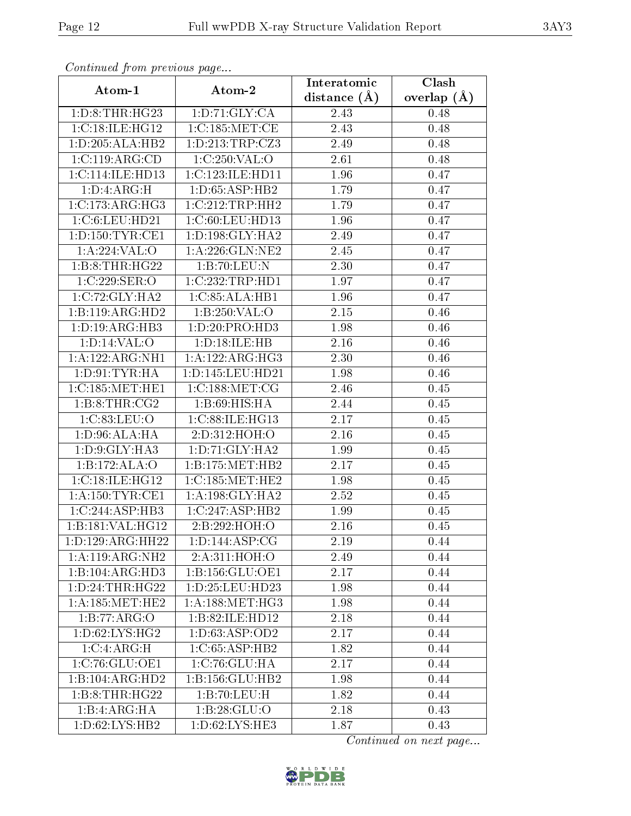| Comunaca jiom previous page           |                     | Interatomic       | Clash           |
|---------------------------------------|---------------------|-------------------|-----------------|
| Atom-1                                | Atom-2              | distance $(A)$    | overlap $(\AA)$ |
| 1: D: 8: THR: HG23                    | 1: D: 71: GLY: CA   | 2.43              | 0.48            |
| 1:C:18:IE:HG12                        | 1:C:185:MET:CE      | $\overline{2}.43$ | 0.48            |
| 1:D:205:ALA:HB2                       | 1: D: 213: TRP: CZ3 | 2.49              | 0.48            |
| 1:C:119:ARG:CD                        | 1:C:250:VAL:O       | 2.61              | 0.48            |
| 1: C: 114: ILE: HD13                  | 1:C:123:ILE:HD11    | 1.96              | 0.47            |
| 1:D:4:ARG:H                           | 1: D: 65: ASP: HB2  | 1.79              | 0.47            |
| 1:C:173:ARG:HG3                       | 1:C:212:TRP:HH2     | 1.79              | 0.47            |
| 1:C:6:LEU:HD21                        | 1:C:60:LEU:HD13     | 1.96              | 0.47            |
| 1: D: 150: TYR: CE1                   | 1: D: 198: GLY: HA2 | 2.49              | 0.47            |
| 1: A:224:VAL:                         | 1: A:226: GLN:NE2   | 2.45              | 0.47            |
| 1:B:8:THR:HG22                        | 1:B:70:LEU:N        | 2.30              | 0.47            |
| 1:C:229:SER:O                         | 1:C:232:TRP:HD1     | 1.97              | 0.47            |
| 1:C:72:GLY:HA2                        | 1:C:85:ALA:HB1      | 1.96              | 0.47            |
| 1:B:119:ARG:HD2                       | 1:B:250:VAL:O       | 2.15              | 0.46            |
| 1: D: 19: ARG: HB3                    | 1:D:20:PRO:HD3      | 1.98              | 0.46            |
| 1: D: 14: VAL: O                      | 1:D:18:ILE:HB       | 2.16              | 0.46            |
| 1:A:122:ARG:NH1                       | 1:A:122:ARG:HG3     | 2.30              | 0.46            |
| 1: D: 91: TYR: HA                     | 1:D:145:LEU:HD21    | 1.98              | 0.46            |
| 1:C:185:MET:HE1                       | 1:C:188:MET:CG      | 2.46              | 0.45            |
| 1: B:8: THR:CG2                       | 1: B:69: HIS: HA    | 2.44              | 0.45            |
| 1:C:83:LEU:O                          | 1:C:88:ILE:HG13     | 2.17              | 0.45            |
| 1: D:96: ALA: HA                      | 2:D:312:HOH:O       | 2.16              | 0.45            |
| 1: D: 9: GLY: HA3                     | 1: D: 71: GLY: HA2  | 1.99              | 0.45            |
| 1:B:172:ALA:O                         | 1:B:175:MET:HB2     | 2.17              | 0.45            |
| 1:C:18:IE:HG12                        | 1:C:185:MET:HE2     | 1.98              | 0.45            |
| 1: A: 150: TYR: CE1                   | 1: A: 198: GLY: HA2 | 2.52              | 0.45            |
| 1:C:244:ASP:HB3                       | 1:C:247:ASP:HB2     | 1.99              | 0.45            |
| 1:B:181:VAL:HG12                      | 2:B:292:HOH:O       | 2.16              | 0.45            |
| 1: D: 129: ARG: HH22                  | 1: D: 144: ASP: CG  | 2.19              | 0.44            |
| 1:A:119:ARG:NH2                       | 2:A:311:HOH:O       | 2.49              | 0.44            |
| 1:B:104:ARG:HD3                       | 1:B:156:GLU:OE1     | 2.17              | 0.44            |
| 1: D: 24: THR: HG22                   | 1: D: 25: LEU: HD23 | 1.98              | 0.44            |
| 1: A: 185: MET: HE2                   | 1: A: 188: MET:HG3  | 1.98              | 0.44            |
| 1:B:77:ARG:O                          | 1:B:82:ILE:HD12     | 2.18              | 0.44            |
| 1: D:62: LYS: HG2                     | 1:D:63:ASP:OD2      | 2.17              | 0.44            |
| 1:C:4:ARG:H                           | 1:C:65:ASP:HB2      | 1.82              | 0.44            |
| 1:C:76:GLU:OE1                        | 1:C:76:GLU:HA       | 2.17              | 0.44            |
| $1:B:104:A\overline{\mathrm{RG:HD2}}$ | 1:B:156:GLU:HB2     | 1.98              | 0.44            |
| 1: B: 8: THR: HG22                    | 1:B:70:LEU:H        | 1.82              | 0.44            |
| 1:B:4:ARG:HA                          | 1:B:28:GLU:O        | 2.18              | 0.43            |
| 1: D:62: LYS: HB2                     | 1: D:62: LYS: HE3   | 1.87              | 0.43            |

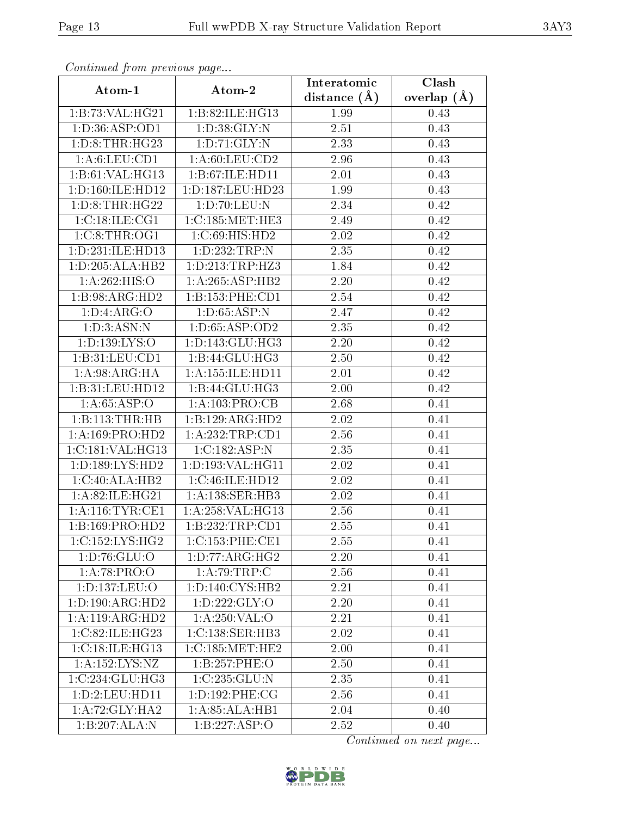| Continuati pont previous page         |                      | Interatomic      | Clash           |  |
|---------------------------------------|----------------------|------------------|-----------------|--|
| Atom-1                                | Atom-2               | distance $(\AA)$ | overlap $(\AA)$ |  |
| 1:B:73:VAL:HG21                       | 1:B:82:ILE:HG13      | 1.99             | 0.43            |  |
| 1:D:36:ASP:OD1                        | 1: D: 38: GLY:N      | 2.51             | 0.43            |  |
| 1: D: 8: THR: HG23                    | 1: D: 71: GLY: N     | 2.33             | 0.43            |  |
| 1: A:6: LEU: CD1                      | 1: A:60:LEU:CD2      | 2.96             | 0.43            |  |
| $1:B:61:V\overline{\mathrm{AL:HG13}}$ | 1:B:67:ILE:HD11      | 2.01             | 0.43            |  |
| 1: D: 160: ILE: HD12                  | 1:D:187:LEU:HD23     | 1.99             | 0.43            |  |
| 1: D: 8: THR: HG22                    | 1:D:70:LEU:N         | 2.34             | 0.42            |  |
| 1:C:18:ILE:CG1                        | 1:C:185:MET:HE3      | 2.49             | 0.42            |  |
| 1:C:8:THR:OG1                         | 1:C:69:HIS:HD2       | 2.02             | 0.42            |  |
| 1:D:231:ILE:HD13                      | 1:D:232:TRP:N        | 2.35             | 0.42            |  |
| 1:D:205:ALA:HB2                       | 1: D: 213: TRP: HZ3  | 1.84             | 0.42            |  |
| 1:A:262:HIS:O                         | 1: A:265: ASP:HB2    | 2.20             | 0.42            |  |
| 1:B:98:ARG:HD2                        | 1:B:153:PHE:CD1      | 2.54             | 0.42            |  |
| 1: D: 4: ARG: O                       | 1: D: 65: ASP: N     | 2.47             | 0.42            |  |
| 1: D: 3: ASN: N                       | 1:D:65:ASP:OD2       | 2.35             | 0.42            |  |
| 1:D:139:LYS:O                         | 1:D:143:GLU:HG3      | 2.20             | 0.42            |  |
| 1:B:31:LEU:CD1                        | 1:B:44:GLU:HG3       | 2.50             | 0.42            |  |
| 1: A:98: ARG: HA                      | 1: A: 155: ILE: HD11 | 2.01             | 0.42            |  |
| 1:B:31:LEU:HD12                       | 1:B:44:GLU:HG3       | 2.00             | 0.42            |  |
| 1: A:65:ASP:O                         | 1: A: 103: PRO:CB    | 2.68             | 0.41            |  |
| 1:B:113:THR:HB                        | 1:B:129:ARG:HD2      | 2.02             | 0.41            |  |
| 1:A:169:PRO:HD2                       | 1: A:232:TRP:CD1     | 2.56             | 0.41            |  |
| 1:C:181:VAL:HG13                      | 1:C:182:ASP:N        | 2.35             | 0.41            |  |
| 1: D: 189: LYS: HD2                   | 1:D:193:VAL:HG11     | 2.02             | 0.41            |  |
| 1:C:40:ALA:HB2                        | 1:C:46:ILE:HD12      | 2.02             | 0.41            |  |
| 1:A:82:ILE:HG21                       | 1: A: 138: SER: HB3  | 2.02             | 0.41            |  |
| 1: A:116: TYR: CE1                    | 1:A:258:VAL:HG13     | 2.56             | 0.41            |  |
| 1:B:169:PRO:HD2                       | 1:B:232:TRP:CD1      | 2.55             | 0.41            |  |
| 1:C:152:LYS:HG2                       | 1:C:153:PHE:CE1      | 2.55             | 0.41            |  |
| 1: D: 76: GLU: O                      | 1: D: 77: ARG: HG2   | 2.20             | 0.41            |  |
| 1:A:78:PRO:O                          | 1:A:79:TRP:C         | 2.56             | 0.41            |  |
| 1:D:137:LEU:O                         | 1: D: 140: CYS: HB2  | 2.21             | 0.41            |  |
| 1: D: 190: ARG: HD2                   | 1: D: 222: GLY:O     | 2.20             | 0.41            |  |
| 1:A:119:ARG:HD2                       | 1:A:250:VAL:O        | 2.21             | 0.41            |  |
| 1:C:82:ILE:HG23                       | 1:C:138:SER:HB3      | 2.02             | 0.41            |  |
| 1:C:18:IE:HG13                        | 1:C:185:MET:HE2      | 2.00             | 0.41            |  |
| 1:A:152:LYS:NZ                        | 1:B:257:PHE:O        | 2.50             | 0.41            |  |
| 1:C:234:GLU:HG3                       | 1:C:235:GLU:N        | 2.35             | 0.41            |  |
| 1:D:2:LEU:HD11                        | 1: D: 192: PHE: CG   | 2.56             | 0.41            |  |
| 1: A:72: GLY:HA2                      | 1:A:85:ALA:HB1       | 2.04             | 0.40            |  |
| 1:B:207:ALA:N                         | 1:B:227:ASP:O        | 2.52             | 0.40            |  |

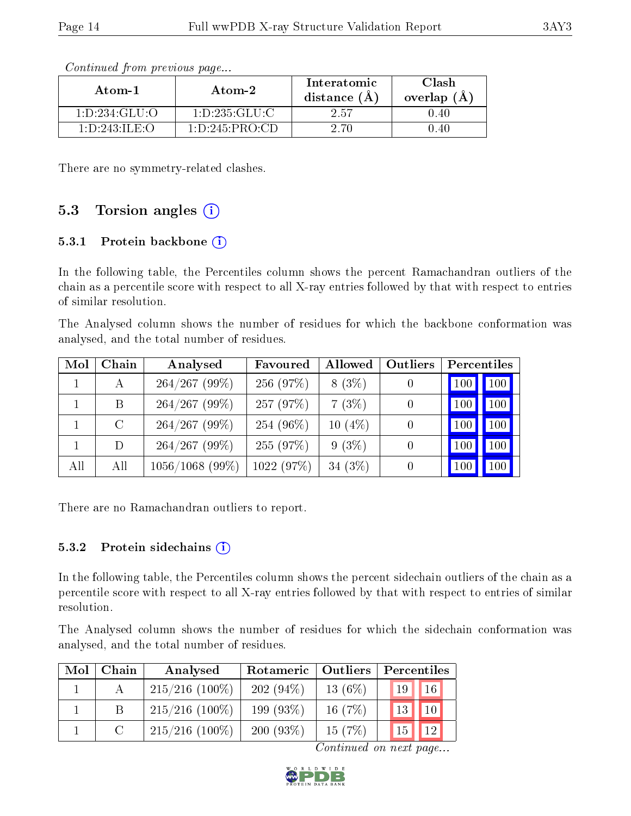| Atom-1                                        | Atom-2             | Interatomic<br>distance $(A)$ | Clash<br>overlap $(A)$ |
|-----------------------------------------------|--------------------|-------------------------------|------------------------|
| 1: D: 234: GLU: O                             | 1:D:235:GLU:C      | 2.57                          | 0.40                   |
| $1 \cdot D \cdot 243 \cdot H \cdot F \cdot O$ | 1: D: 245: PRO: CD | 2.70                          | 1.40                   |

There are no symmetry-related clashes.

### 5.3 Torsion angles  $(i)$

#### 5.3.1 Protein backbone  $(i)$

In the following table, the Percentiles column shows the percent Ramachandran outliers of the chain as a percentile score with respect to all X-ray entries followed by that with respect to entries of similar resolution.

The Analysed column shows the number of residues for which the backbone conformation was analysed, and the total number of residues.

| Mol | Chain   | Analysed          | Favoured   | Allowed   | Outliers | Percentiles |         |
|-----|---------|-------------------|------------|-----------|----------|-------------|---------|
|     | А       | $264/267$ (99%)   | 256 (97%)  | $8(3\%)$  |          | 100         | $100$ . |
|     | B.      | $264/267$ (99%)   | 257 (97%)  | 7(3%)     |          | 100         | 100     |
|     | $\rm C$ | $264/267$ (99%)   | 254 (96%)  | $10(4\%)$ | 0        | 100         | 100     |
|     | D       | $264/267$ (99%)   | 255 (97%)  | $9(3\%)$  |          | 100         | 100     |
| All | All     | $1056/1068$ (99%) | 1022 (97%) | 34 $(3%)$ |          | 100         | 100     |

There are no Ramachandran outliers to report.

#### 5.3.2 Protein sidechains  $(i)$

In the following table, the Percentiles column shows the percent sidechain outliers of the chain as a percentile score with respect to all X-ray entries followed by that with respect to entries of similar resolution.

The Analysed column shows the number of residues for which the sidechain conformation was analysed, and the total number of residues.

| Mol | Chain  | Analysed          | Rotameric   Outliers |            | Percentiles     |                 |
|-----|--------|-------------------|----------------------|------------|-----------------|-----------------|
|     |        | $215/216$ (100%)  | $202(94\%)$          | 13 $(6\%)$ | 19 <sup>°</sup> | 16 <sup>°</sup> |
|     |        | $215/216$ (100%)  | 199(93%)             | 16 $(7%)$  | 13              | 10              |
|     | $\cap$ | $215/216$ (100\%) | 200(93%)             | 15(7%)     | 15 <sub>1</sub> | 12              |

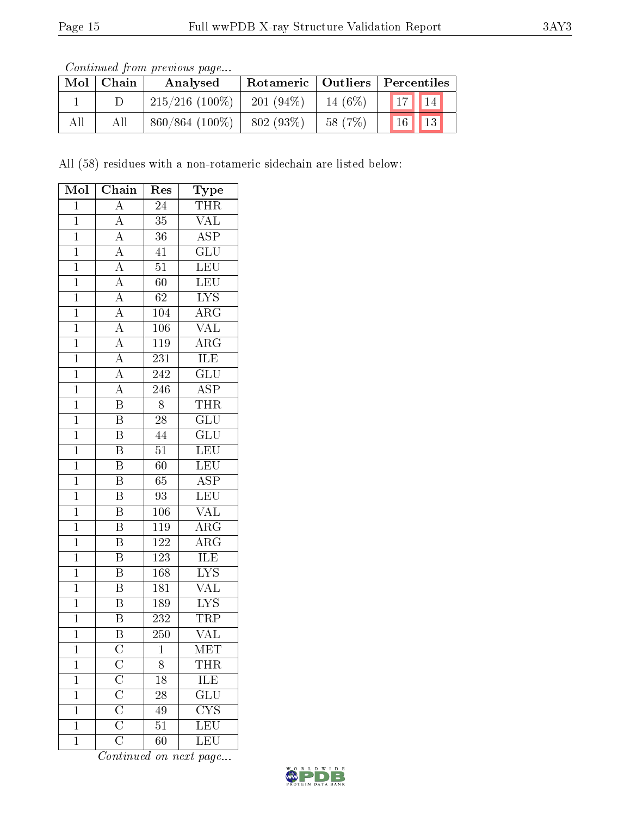Continued from previous page...

| Mol | Chain | Analysed          | Rotameric   Outliers   Percentiles |         |    |          |
|-----|-------|-------------------|------------------------------------|---------|----|----------|
|     |       | $215/216$ (100\%) | $201(94\%)$                        | 14 (6%) | 17 | $^114$ ) |
| All | All   | $860/864$ (100%)  | 802 (93%)                          | 58 (7%) | 16 | 13       |

All (58) residues with a non-rotameric sidechain are listed below:

| Mol            | Chain                                                                                                | Res              | <b>Type</b>             |
|----------------|------------------------------------------------------------------------------------------------------|------------------|-------------------------|
| $\overline{1}$ | $\overline{A}$                                                                                       | $\overline{24}$  | THR                     |
| $\mathbf{1}$   | $\boldsymbol{A}$                                                                                     | $\overline{35}$  | <b>VAL</b>              |
| $\overline{1}$ | $\overline{A}$                                                                                       | $\overline{36}$  | $\overline{\text{ASP}}$ |
| $\overline{1}$ | $\overline{A}$                                                                                       | 41               | $\overline{\text{GLU}}$ |
| $\overline{1}$ | $\overline{A}$                                                                                       | $\overline{51}$  | LEU                     |
| $\overline{1}$ | $\overline{A}$                                                                                       | 60               | LEU                     |
| $\overline{1}$ | $\overline{A}$                                                                                       | 62               | $\overline{\text{LYS}}$ |
| $\overline{1}$ | $\overline{A}$                                                                                       | 104              | $\overline{\rm{ARG}}$   |
| $\mathbf{1}$   | $\overline{A}$                                                                                       | 106              | $\overline{\text{VAL}}$ |
| $\overline{1}$ | $\frac{\overline{A}}{A}$                                                                             | <b>119</b>       | $\overline{\rm{ARG}}$   |
| $\mathbf{1}$   |                                                                                                      | 231              | ILE                     |
| $\overline{1}$ | $\overline{A}$                                                                                       | 242              | $\overline{\text{GLU}}$ |
| $\overline{1}$ | $\overline{A}$                                                                                       | 246              | $\overline{\text{ASP}}$ |
| $\mathbf{1}$   | $\overline{B}$                                                                                       | 8                | <b>THR</b>              |
| $\mathbf{1}$   | $\overline{\mathbf{B}}$                                                                              | $\overline{28}$  | $\overline{\text{GLU}}$ |
| $\overline{1}$ | $\overline{\mathrm{B}}$                                                                              | 44               | $\overline{\text{GLU}}$ |
| $\overline{1}$ | B                                                                                                    | $\overline{51}$  | LEU                     |
| $\overline{1}$ | $\overline{\mathrm{B}}$                                                                              | $\overline{60}$  | LEU                     |
| $\mathbf{1}$   | B                                                                                                    | 65               | $\overline{\text{ASP}}$ |
| $\overline{1}$ | $\overline{\mathrm{B}}$                                                                              | $\overline{93}$  | $\overline{\text{LEU}}$ |
| $\mathbf{1}$   | Β                                                                                                    | $10\overline{6}$ | <b>VAL</b>              |
| $\overline{1}$ | $\overline{\mathrm{B}}$                                                                              | <b>119</b>       | $\overline{\rm{ARG}}$   |
| $\overline{1}$ | $\overline{B}$                                                                                       | 122              | $\overline{\rm{ARG}}$   |
| $\mathbf 1$    | $\overline{B}$                                                                                       | 123              | $\overline{\text{ILE}}$ |
| $\overline{1}$ | $\overline{\mathrm{B}}$                                                                              | 168              | $\overline{\text{LYS}}$ |
| $\overline{1}$ | B                                                                                                    | 181              | $\overline{\text{VAL}}$ |
| $\overline{1}$ | $\overline{\mathrm{B}}$                                                                              | 189              | $\overline{\text{LYS}}$ |
| $\mathbf{1}$   | $\overline{\mathrm{B}}$                                                                              | 232              | TRP                     |
| $\mathbf{1}$   | B                                                                                                    | 250              | $\overline{\text{VAL}}$ |
| 1              | $\rm{C}$                                                                                             | 1                | MET                     |
| $\mathbf{1}$   | $\frac{\overline{\text{C}}}{\overline{\text{C}}}}$ $\frac{\overline{\text{C}}}{\overline{\text{C}}}$ | 8                | <b>THR</b>              |
| $\mathbf{1}$   |                                                                                                      | $18\,$           | <b>ILE</b>              |
| $\mathbf{1}$   |                                                                                                      | 28               | $\overline{GLU}$        |
| $\mathbf 1$    |                                                                                                      | 49               | $\overline{\text{CYS}}$ |
| $\mathbf 1$    |                                                                                                      | $\overline{51}$  | $\overline{\text{LEU}}$ |
| $\mathbf 1$    | $\overline{\overline{\rm C}}$                                                                        | 60               | LEU                     |

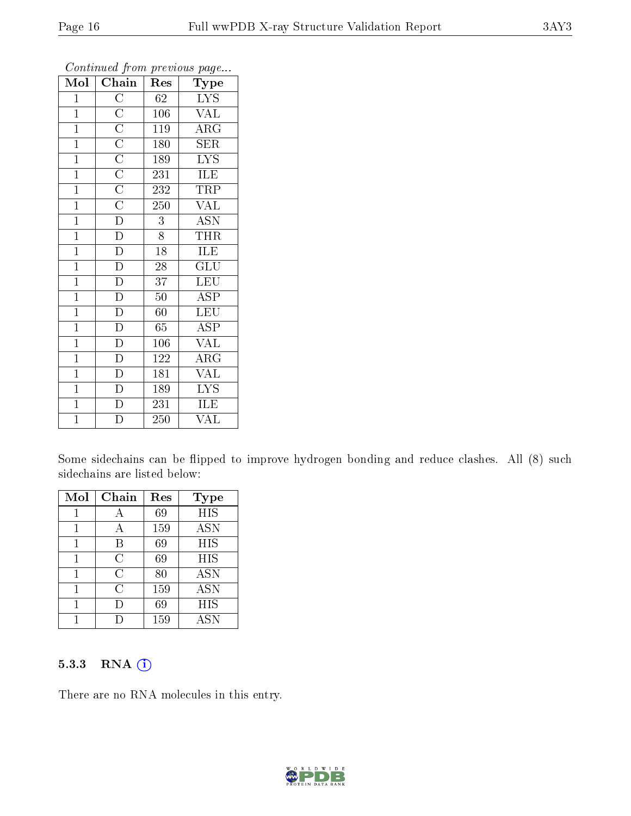| Mol            | Chain                                                   | Res              | contenta ou promo proceso ao pagon-<br>Type |
|----------------|---------------------------------------------------------|------------------|---------------------------------------------|
| $\mathbf{1}$   |                                                         | 62               | <b>LYS</b>                                  |
| $\overline{1}$ |                                                         | 106              | VAL                                         |
| $\overline{1}$ | $\frac{\text{C}}{\text{C}}$ $\frac{\text{C}}{\text{C}}$ | 119              | $\overline{\text{ARG}}$                     |
| $\mathbf{1}$   |                                                         | 180              | <b>SER</b>                                  |
| $\mathbf{1}$   | $\frac{1}{C}$                                           | 189              | $\overline{\text{LYS}}$                     |
| $\overline{1}$ | $\frac{\overline{C}}{\overline{C}}$                     | $\overline{2}31$ | ILE                                         |
| $\mathbf{1}$   |                                                         | 232              | TRP                                         |
| $\mathbf{1}$   | $\overline{C}$                                          | 250              | <b>VAL</b>                                  |
| $\mathbf{1}$   | $\overline{\rm D}$                                      | 3                | <b>ASN</b>                                  |
| $\mathbf{1}$   | $\overline{\rm D}$                                      | 8                | <b>THR</b>                                  |
| $\overline{1}$ | $\overline{\rm D}$                                      | $\overline{18}$  | <b>ILE</b>                                  |
| $\overline{1}$ | $\overline{\rm D}$                                      | 28               | $\widetilde{{\rm GLU}}$                     |
| $\mathbf{1}$   | $\overline{\rm D}$                                      | 37               | <b>LEU</b>                                  |
| $\mathbf{1}$   | $\overline{\rm D}$                                      | $50\,$           | <b>ASP</b>                                  |
| $\overline{1}$ | $\overline{\rm D}$                                      | 60               | <b>LEU</b>                                  |
| $\overline{1}$ | $\overline{\rm D}$                                      | 65               | ASP                                         |
| $\mathbf{1}$   | $\overline{\rm D}$                                      | 106              | VĀL                                         |
| $\mathbf{1}$   | D                                                       | 122              | $\rm{ARG}$                                  |
| $\mathbf{1}$   | $\overline{\rm D}$                                      | 181              | $\overline{\text{VAL}}$                     |
| $\overline{1}$ | $\overline{\rm D}$                                      | 189              | $\overline{\text{LYS}}$                     |
| $\overline{1}$ | $\overline{\text{D}}$                                   | 231              | ILE                                         |
| $\overline{1}$ | D                                                       | 250              | $\overline{\text{VAL}}$                     |

Some sidechains can be flipped to improve hydrogen bonding and reduce clashes. All (8) such sidechains are listed below:

| Mol | Chain | Res | <b>Type</b>       |
|-----|-------|-----|-------------------|
|     |       | 69  | <b>HIS</b>        |
| 1   |       | 159 | $\overline{A}$ SN |
| 1   | B     | 69  | <b>HIS</b>        |
| 1   | C     | 69  | HIS               |
|     | С     | 80  | <b>ASN</b>        |
|     | С     | 159 | <b>ASN</b>        |
|     |       | 69  | <b>HIS</b>        |
|     |       | 159 | <b>ASN</b>        |

#### 5.3.3 RNA [O](https://www.wwpdb.org/validation/2017/XrayValidationReportHelp#rna)i

There are no RNA molecules in this entry.

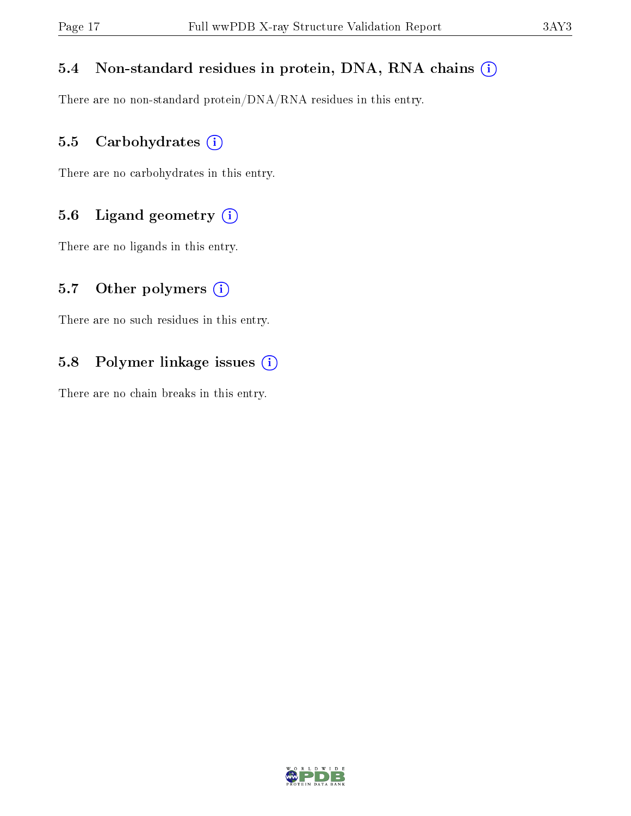### 5.4 Non-standard residues in protein, DNA, RNA chains (i)

There are no non-standard protein/DNA/RNA residues in this entry.

### 5.5 Carbohydrates (i)

There are no carbohydrates in this entry.

### 5.6 Ligand geometry (i)

There are no ligands in this entry.

### 5.7 [O](https://www.wwpdb.org/validation/2017/XrayValidationReportHelp#nonstandard_residues_and_ligands)ther polymers  $(i)$

There are no such residues in this entry.

### 5.8 Polymer linkage issues (i)

There are no chain breaks in this entry.

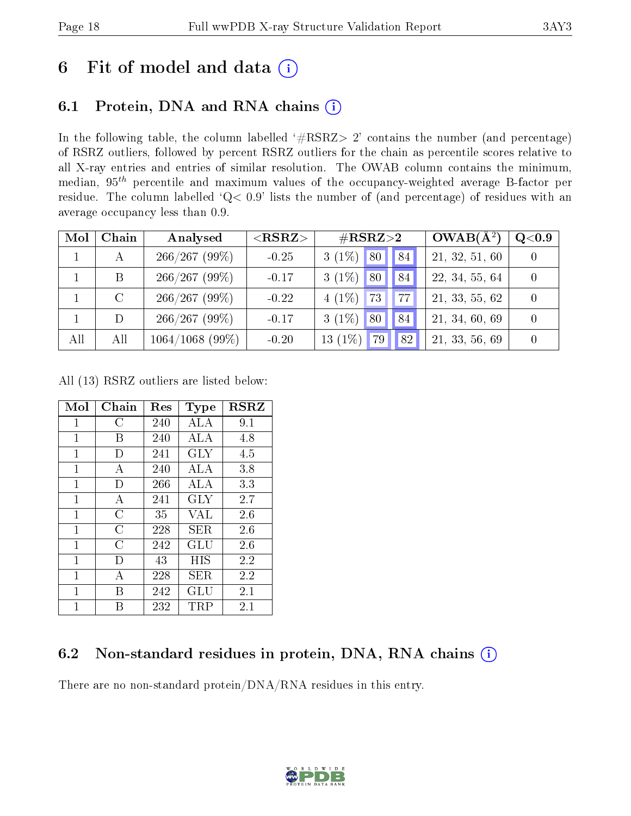# 6 Fit of model and data  $(i)$

# 6.1 Protein, DNA and RNA chains  $(i)$

In the following table, the column labelled  $#RSRZ> 2'$  contains the number (and percentage) of RSRZ outliers, followed by percent RSRZ outliers for the chain as percentile scores relative to all X-ray entries and entries of similar resolution. The OWAB column contains the minimum, median,  $95<sup>th</sup>$  percentile and maximum values of the occupancy-weighted average B-factor per residue. The column labelled ' $Q< 0.9$ ' lists the number of (and percentage) of residues with an average occupancy less than 0.9.

| Mol | Chain | Analysed          | ${ <\hspace{-1.5pt}{\mathrm{RSRZ}} \hspace{-1.5pt}>}$ | $\#\text{RSRZ}{>}2$            | $OWAB(A^2)$    | Q <sub>0.9</sub> |
|-----|-------|-------------------|-------------------------------------------------------|--------------------------------|----------------|------------------|
|     |       | $266/267$ (99%)   | $-0.25$                                               | $3(1\%)$ 80<br>84 <sup>1</sup> | 21, 32, 51, 60 |                  |
|     |       | 266/267(99%)      | $-0.17$                                               | $3(1\%)$ 80<br>84              | 22, 34, 55, 64 |                  |
|     |       | $266/267(99\%)$   | $-0.22$                                               | $4(1\%)$ 73<br><b>77</b>       | 21, 33, 55, 62 |                  |
|     |       | $266/267$ (99%)   | $-0.17$                                               | $3(1\%)$ 80<br>84              | 21, 34, 60, 69 |                  |
| All | All   | $1064/1068$ (99%) | $-0.20$                                               | 13 $(1\%)$<br>82<br>79         | 21, 33, 56, 69 |                  |

All (13) RSRZ outliers are listed below:

| Mol          | Chain | $\operatorname{Res}% \left( \mathcal{N}\right) \equiv\operatorname{Res}(\mathcal{N}_{0},\mathcal{N}_{0})$ | <b>Type</b> | <b>RSRZ</b> |
|--------------|-------|-----------------------------------------------------------------------------------------------------------|-------------|-------------|
| $\mathbf{1}$ | С     | 240                                                                                                       | ALA         | 9.1         |
| 1            | В     | 240                                                                                                       | ALA         | 4.8         |
| $\mathbf{1}$ | Ð     | 241                                                                                                       | GLY         | 4.5         |
| 1            | А     | 240                                                                                                       | ALA         | 3.8         |
| 1            | D     | 266                                                                                                       | ALA         | 3.3         |
| $\mathbf{1}$ | А     | 241                                                                                                       | GLY         | 2.7         |
| 1            | С     | 35                                                                                                        | VAL         | 2.6         |
| 1            | С     | 228                                                                                                       | SER.        | 2.6         |
| $\mathbf{1}$ | C     | 242                                                                                                       | GLU         | 2.6         |
| 1            | D     | 43                                                                                                        | HIS         | 2.2         |
| 1            | А     | 228                                                                                                       | SER.        | 2.2         |
| 1            | В     | 242                                                                                                       | GLU         | 2.1         |
| 1            | R     | 232                                                                                                       | TRP         | 2.1         |

# 6.2 Non-standard residues in protein, DNA, RNA chains (i)

There are no non-standard protein/DNA/RNA residues in this entry.